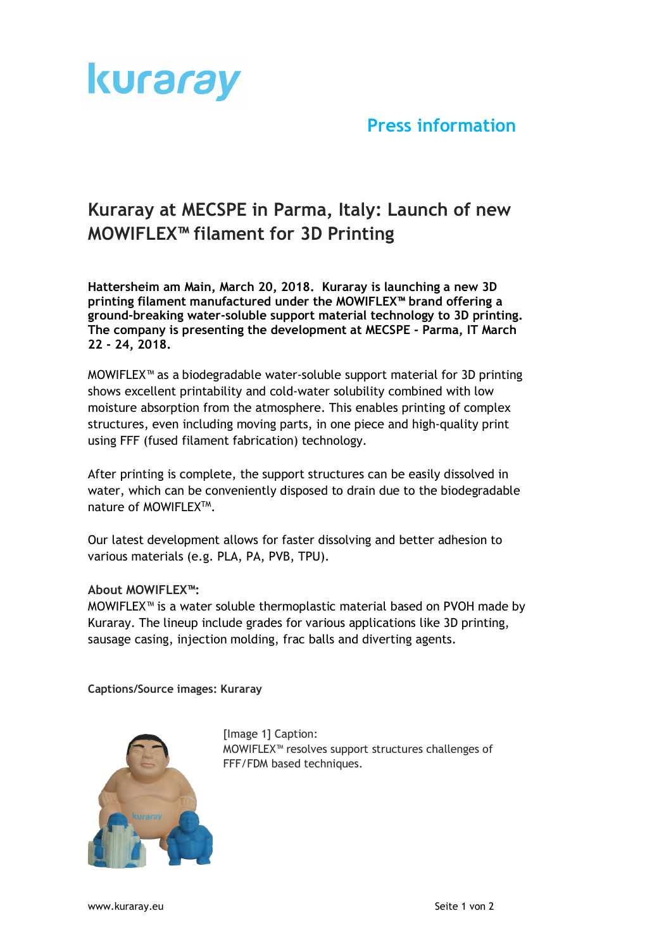

## **Press information**

## **Kuraray at MECSPE in Parma, Italy: Launch of new MOWIFLEX™ filament for 3D Printing**

**Hattersheim am Main, March 20, 2018. Kuraray is launching a new 3D printing filament manufactured under the MOWIFLEX™ brand offering a ground-breaking water-soluble support material technology to 3D printing. The company is presenting the development at MECSPE - Parma, IT March 22 - 24, 2018.**

MOWIFLEX™ as a biodegradable water-soluble support material for 3D printing shows excellent printability and cold-water solubility combined with low moisture absorption from the atmosphere. This enables printing of complex structures, even including moving parts, in one piece and high-quality print using FFF (fused filament fabrication) technology.

After printing is complete, the support structures can be easily dissolved in water, which can be conveniently disposed to drain due to the biodegradable nature of MOWIFLEXTM.

Our latest development allows for faster dissolving and better adhesion to various materials (e.g. PLA, PA, PVB, TPU).

## **About MOWIFLEX™:**

MOWIFLEX™ is a water soluble thermoplastic material based on PVOH made by Kuraray. The lineup include grades for various applications like 3D printing, sausage casing, injection molding, frac balls and diverting agents.

**Captions/Source images: Kuraray**



[Image 1] Caption: MOWIFLEX™ resolves support structures challenges of FFF/FDM based techniques.